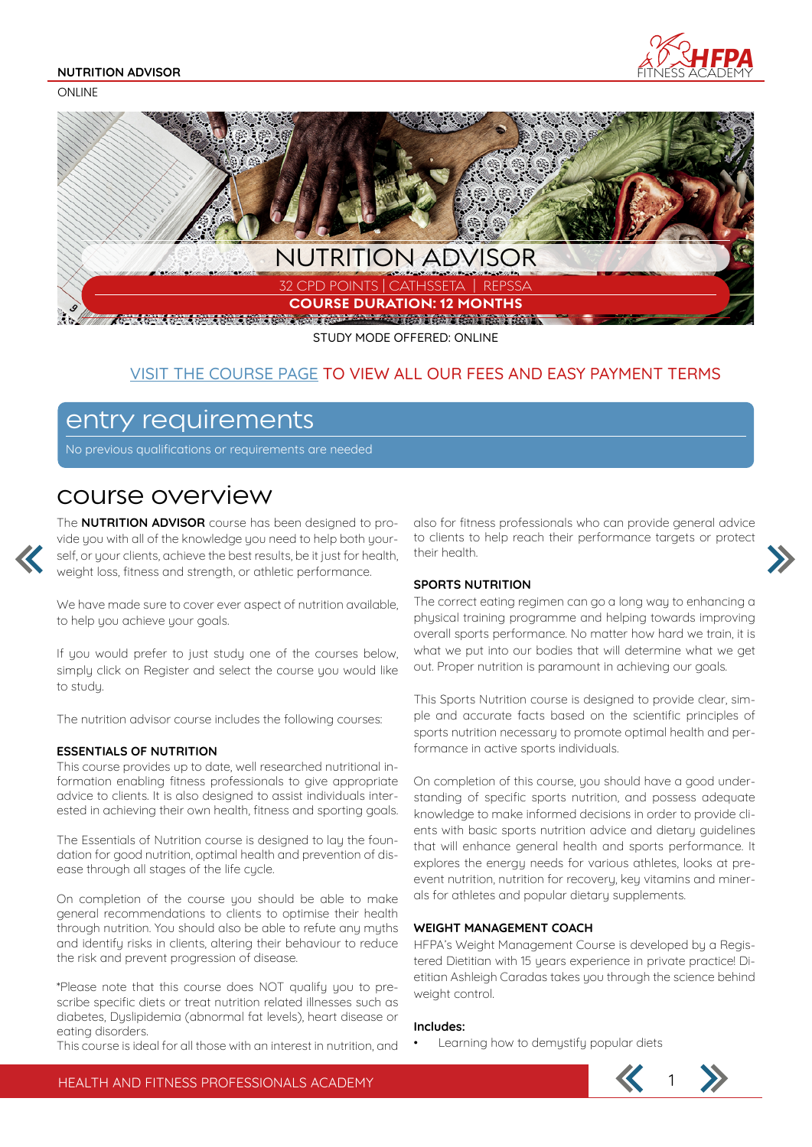#### **NUTRITION ADVISOR**

**ONLINE** 





STUDY MODE OFFERED: ONLINE

### VISIT THE COURSE PAGE TO VIEW ALL OUR FEES AND EASY PAYMENT TERMS

### entry requirements

No previous qualifications or requirements are needed

### course overview

The **NUTRITION ADVISOR** course has been designed to provide you with all of the knowledge you need to help both yourself, or your clients, achieve the best results, be it just for health, weight loss, fitness and strength, or athletic performance.

We have made sure to cover ever aspect of nutrition available, to help you achieve your goals.

If you would prefer to just study one of the courses below, simply click on Register and select the course you would like to studu.

The nutrition advisor course includes the following courses:

### **ESSENTIALS OF NUTRITION**

This course provides up to date, well researched nutritional information enabling fitness professionals to give appropriate advice to clients. It is also designed to assist individuals interested in achieving their own health, fitness and sporting goals.

The Essentials of Nutrition course is designed to lay the foundation for good nutrition, optimal health and prevention of disease through all stages of the life cycle.

On completion of the course you should be able to make general recommendations to clients to optimise their health through nutrition. You should also be able to refute any myths and identify risks in clients, altering their behaviour to reduce the risk and prevent progression of disease.

\*Please note that this course does NOT qualify you to prescribe specific diets or treat nutrition related illnesses such as diabetes, Dyslipidemia (abnormal fat levels), heart disease or eating disorders.

This course is ideal for all those with an interest in nutrition, and

also for fitness professionals who can provide general advice to clients to help reach their performance targets or protect their health.

### **SPORTS NUTRITION**

The correct eating regimen can go a long way to enhancing a physical training programme and helping towards improving overall sports performance. No matter how hard we train, it is what we put into our bodies that will determine what we get out. Proper nutrition is paramount in achieving our goals.

This Sports Nutrition course is designed to provide clear, simple and accurate facts based on the scientific principles of sports nutrition necessary to promote optimal health and performance in active sports individuals.

On completion of this course, you should have a good understanding of specific sports nutrition, and possess adequate knowledge to make informed decisions in order to provide clients with basic sports nutrition advice and dietary guidelines that will enhance general health and sports performance. It explores the energy needs for various athletes, looks at preevent nutrition, nutrition for recovery, key vitamins and minerals for athletes and popular dietary supplements.

### **WEIGHT MANAGEMENT COACH**

HFPA's Weight Management Course is developed by a Registered Dietitian with 15 years experience in private practice! Dietitian Ashleigh Caradas takes you through the science behind weight control.

#### **Includes:**

Learning how to demystify popular diets

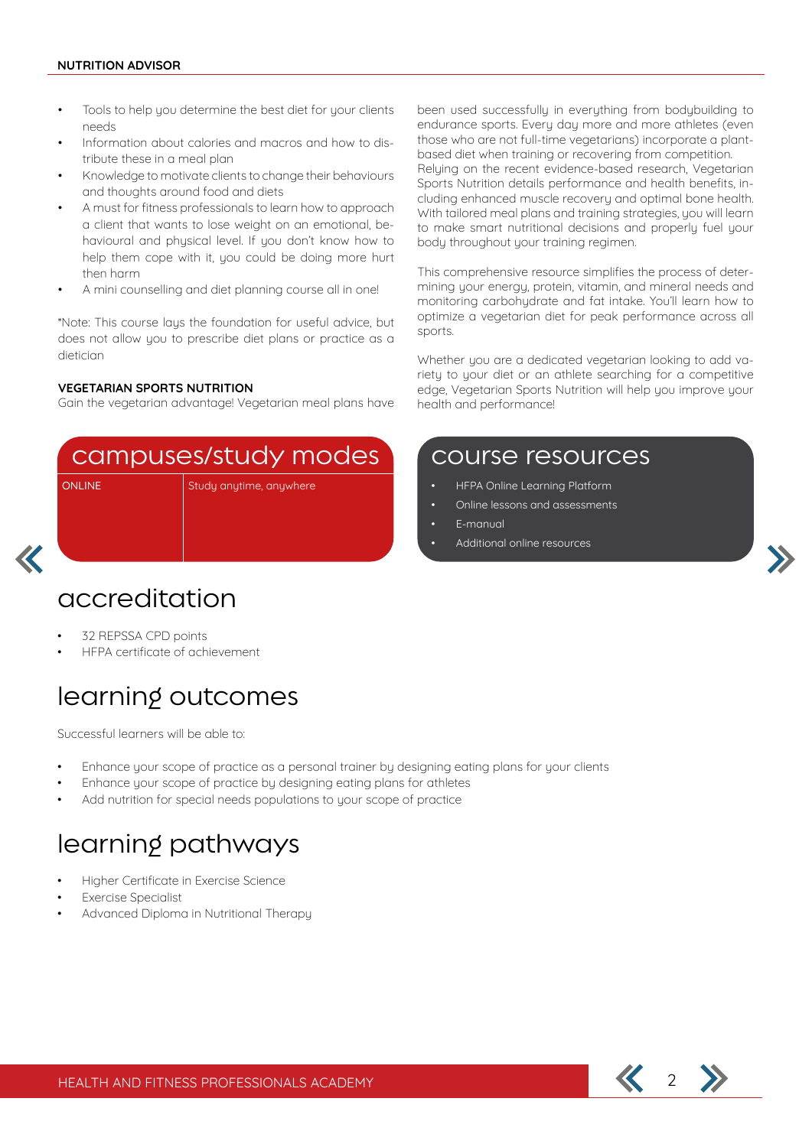- Tools to help you determine the best diet for your clients needs
- Information about calories and macros and how to distribute these in a meal plan
- Knowledge to motivate clients to change their behaviours and thoughts around food and diets
- A must for fitness professionals to learn how to approach a client that wants to lose weight on an emotional, behavioural and physical level. If you don't know how to help them cope with it, you could be doing more hurt then harm
- A mini counselling and diet planning course all in one!

\*Note: This course lays the foundation for useful advice, but does not allow you to prescribe diet plans or practice as a dietician

### **VEGETARIAN SPORTS NUTRITION**

Gain the vegetarian advantage! Vegetarian meal plans have

### campuses/study modes

ONLINE Study anytime, anywhere

## accreditation

- 32 REPSSA CPD points
- HFPA certificate of achievement

## learning outcomes

Successful learners will be able to:

- Enhance your scope of practice as a personal trainer by designing eating plans for your clients
- Enhance your scope of practice by designing eating plans for athletes
- Add nutrition for special needs populations to your scope of practice

# learning pathways

- Higher Certificate in Exercise Science
- **Exercise Specialist**
- Advanced Diploma in Nutritional Therapy

been used successfully in everything from bodybuilding to endurance sports. Every day more and more athletes (even those who are not full-time vegetarians) incorporate a plantbased diet when training or recovering from competition. Relying on the recent evidence-based research, Vegetarian Sports Nutrition details performance and health benefits, including enhanced muscle recovery and optimal bone health. With tailored meal plans and training strategies, you will learn to make smart nutritional decisions and properly fuel your body throughout your training regimen.

This comprehensive resource simplifies the process of determining your energy, protein, vitamin, and mineral needs and monitoring carbohydrate and fat intake. You'll learn how to optimize a vegetarian diet for peak performance across all sports.

Whether you are a dedicated vegetarian looking to add variety to your diet or an athlete searching for a competitive edge, Vegetarian Sports Nutrition will help you improve your health and performance!

### course resources

- HFPA Online Learning Platform
- Online lessons and assessments
- E-manual
- Additional online resources

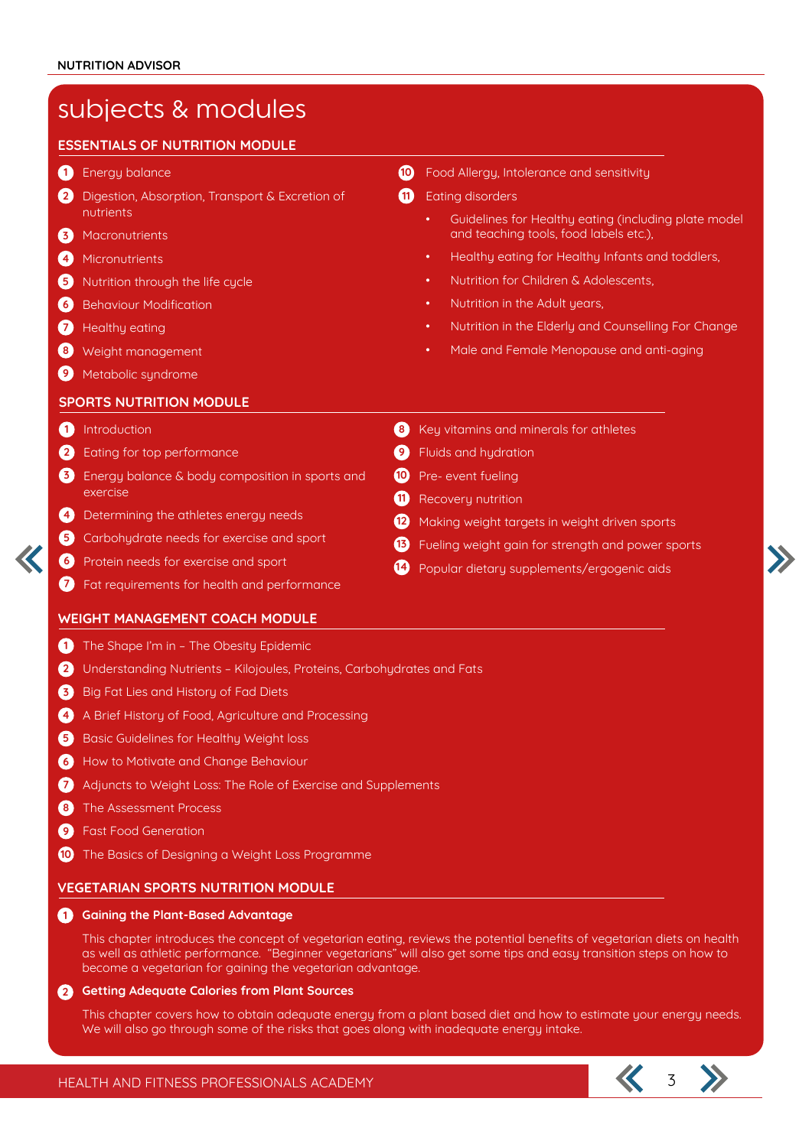### subjects & modules Energy balance **1 10** Digestion, Absorption, Transport & Excretion of **2 11** nutrients Macronutrients **3** Micronutrients **4 5** Nutrition through the life cycle **6** Behaviour Modification **7** Healthy eating Weight management **8** Metabolic syndrome **9 10** Food Allergy, Intolerance and sensitivity **n** Eating disorders • Guidelines for Healthy eating (including plate model and teaching tools, food labels etc.), • Healthy eating for Healthy Infants and toddlers, • Nutrition for Children & Adolescents, Nutrition in the Adult years. • Nutrition in the Elderly and Counselling For Change • Male and Female Menopause and anti-aging **ESSENTIALS OF NUTRITION MODULE** Introduction **1 8 2 Eating for top performance 2 9 9 9** Energy balance & body composition in sports and **3 10** exercise Determining the athletes energy needs **4** Carbohydrate needs for exercise and sport **5 6** Protein needs for exercise and sport Fat requirements for health and performance **7** 8 Key vitamins and minerals for athletes **9** Fluids and hydration <sup>10</sup> Pre- event fueling **11** Recovery nutrition 12 Making weight targets in weight driven sports Fueling weight gain for strength and power sports **13** 14 Popular dietary supplements/ergogenic aids **SPORTS NUTRITION MODULE** 1) The Shape I'm in - The Obesity Epidemic Understanding Nutrients – Kilojoules, Proteins, Carbohydrates and Fats **2 3** Big Fat Lies and History of Fad Diets 4 A Brief History of Food, Agriculture and Processing **5** Basic Guidelines for Healthy Weight loss **6** How to Motivate and Change Behaviour Adjuncts to Weight Loss: The Role of Exercise and Supplements **7** The Assessment Process **8** Fast Food Generation **9** 10 The Basics of Designing a Weight Loss Programme **WEIGHT MANAGEMENT COACH MODULE Gaining the Plant-Based Advantage 1** This chapter introduces the concept of vegetarian eating, reviews the potential benefits of vegetarian diets on health **VEGETARIAN SPORTS NUTRITION MODULE**

as well as athletic performance. "Beginner vegetarians" will also get some tips and easy transition steps on how to become a vegetarian for gaining the vegetarian advantage.

### **Getting Adequate Calories from Plant Sources 2**

This chapter covers how to obtain adequate energy from a plant based diet and how to estimate your energy needs. We will also go through some of the risks that goes along with inadequate energy intake.

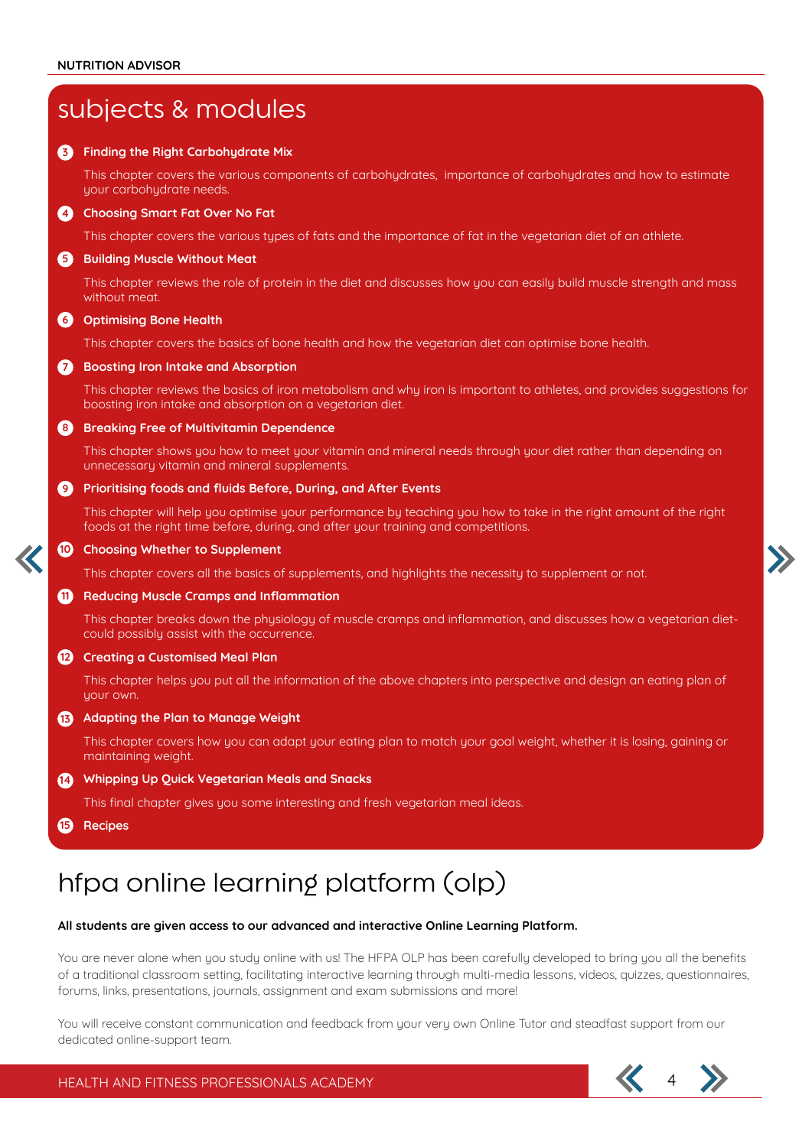| subjects & modules                              |                                                                                                                                                                                                        |
|-------------------------------------------------|--------------------------------------------------------------------------------------------------------------------------------------------------------------------------------------------------------|
| 6                                               | <b>Finding the Right Carbohydrate Mix</b>                                                                                                                                                              |
|                                                 | This chapter covers the various components of carbohydrates, importance of carbohydrates and how to estimate<br>your carbohydrate needs.                                                               |
| $\mathbf{A}$                                    | <b>Choosing Smart Fat Over No Fat</b>                                                                                                                                                                  |
|                                                 | This chapter covers the various types of fats and the importance of fat in the vegetarian diet of an athlete.                                                                                          |
| 6                                               | <b>Building Muscle Without Meat</b>                                                                                                                                                                    |
|                                                 | This chapter reviews the role of protein in the diet and discusses how you can easily build muscle strength and mass<br>without meat.                                                                  |
| 6                                               | <b>Optimising Bone Health</b>                                                                                                                                                                          |
|                                                 | This chapter covers the basics of bone health and how the vegetarian diet can optimise bone health.                                                                                                    |
| $\boldsymbol{\sigma}$                           | <b>Boosting Iron Intake and Absorption</b>                                                                                                                                                             |
|                                                 | This chapter reviews the basics of iron metabolism and why iron is important to athletes, and provides suggestions for<br>boosting iron intake and absorption on a vegetarian diet.                    |
| $\left( \begin{array}{c} 8 \end{array} \right)$ | <b>Breaking Free of Multivitamin Dependence</b>                                                                                                                                                        |
|                                                 | This chapter shows you how to meet your vitamin and mineral needs through your diet rather than depending on<br>unnecessary vitamin and mineral supplements.                                           |
| 0                                               | Prioritising foods and fluids Before, During, and After Events                                                                                                                                         |
|                                                 | This chapter will help you optimise your performance by teaching you how to take in the right amount of the right<br>foods at the right time before, during, and after your training and competitions. |
| <b>10</b>                                       | <b>Choosing Whether to Supplement</b>                                                                                                                                                                  |
|                                                 | This chapter covers all the basics of supplements, and highlights the necessity to supplement or not.                                                                                                  |
| 60                                              | <b>Reducing Muscle Cramps and Inflammation</b>                                                                                                                                                         |
|                                                 | This chapter breaks down the physiology of muscle cramps and inflammation, and discusses how a vegetarian diet-<br>could possibly assist with the occurrence.                                          |
| 12                                              | <b>Creating a Customised Meal Plan</b>                                                                                                                                                                 |
|                                                 | This chapter helps you put all the information of the above chapters into perspective and design an eating plan of<br>your own.                                                                        |
| 63                                              | Adapting the Plan to Manage Weight                                                                                                                                                                     |
|                                                 | This chapter covers how you can adapt your eating plan to match your goal weight, whether it is losing, gaining or<br>maintaining weight.                                                              |
| $\mathbf{a}$                                    | Whipping Up Quick Vegetarian Meals and Snacks                                                                                                                                                          |
|                                                 | This final chapter gives you some interesting and fresh vegetarian meal ideas.                                                                                                                         |
| 15                                              | Recipes                                                                                                                                                                                                |

# hfpa online learning platform (olp)

### **All students are given access to our advanced and interactive Online Learning Platform.**

You are never alone when you study online with us! The HFPA OLP has been carefully developed to bring you all the benefits of a traditional classroom setting, facilitating interactive learning through multi-media lessons, videos, quizzes, questionnaires, forums, links, presentations, journals, assignment and exam submissions and more!

You will receive constant communication and feedback from your very own Online Tutor and steadfast support from our dedicated online-support team.